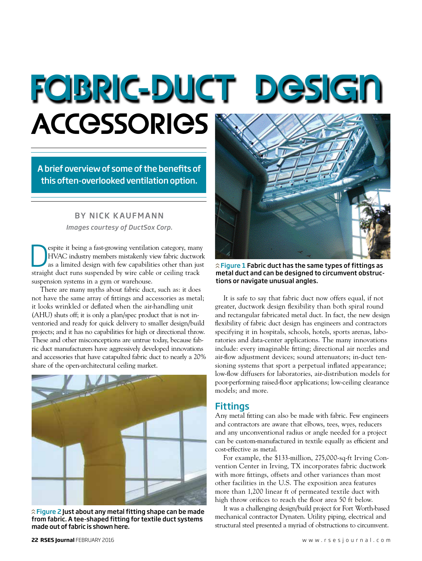# Fabric-duct design **ACCESSORIES**

A brief overview of some of the benefits of this often-overlooked ventilation option.

#### *Images courtesy of DuctSox Corp.* BY NICK KAUFMANN

**Example 18 Separate it being a fast-growing ventilation category, many HVAC industry members mistakenly view fabric ductwork**<br>as a limited design with few capabilities other than just<br>straight duct runs supported by wire HVAC industry members mistakenly view fabric ductwork straight duct runs suspended by wire cable or ceiling track suspension systems in a gym or warehouse.

There are many myths about fabric duct, such as: it does not have the same array of fittings and accessories as metal; it looks wrinkled or deflated when the air-handling unit (AHU) shuts off; it is only a plan/spec product that is not inventoried and ready for quick delivery to smaller design/build projects; and it has no capabilities for high or directional throw. These and other misconceptions are untrue today, because fabric duct manufacturers have aggressively developed innovations and accessories that have catapulted fabric duct to nearly a 20% share of the open-architectural ceiling market.



 $\hat{p}$  Figure 2 Just about any metal fitting shape can be made from fabric. A tee-shaped fitting for textile duct systems made out of fabric is shown here.



 $\hat{\lambda}$  Figure 1 Fabric duct has the same types of fittings as metal duct and can be designed to circumvent obstructions or navigate unusual angles.

It is safe to say that fabric duct now offers equal, if not greater, ductwork design flexibility than both spiral round and rectangular fabricated metal duct. In fact, the new design flexibility of fabric duct design has engineers and contractors specifying it in hospitals, schools, hotels, sports arenas, laboratories and data-center applications. The many innovations include: every imaginable fitting; directional air nozzles and air-flow adjustment devices; sound attenuators; in-duct tensioning systems that sport a perpetual inflated appearance; low-flow diffusers for laboratories, air-distribution models for poor-performing raised-floor applications; low-ceiling clearance models; and more.

#### Fittings

Any metal fitting can also be made with fabric. Few engineers and contractors are aware that elbows, tees, wyes, reducers and any unconventional radius or angle needed for a project can be custom-manufactured in textile equally as efficient and cost-effective as metal.

For example, the \$133-million, 275,000-sq-ft Irving Convention Center in Irving, TX incorporates fabric ductwork with more fittings, offsets and other variances than most other facilities in the U.S. The exposition area features more than 1,200 linear ft of permeated textile duct with high throw orifices to reach the floor area 50 ft below.

It was a challenging design/build project for Fort Worth-based mechanical contractor Dynaten. Utility piping, electrical and structural steel presented a myriad of obstructions to circumvent.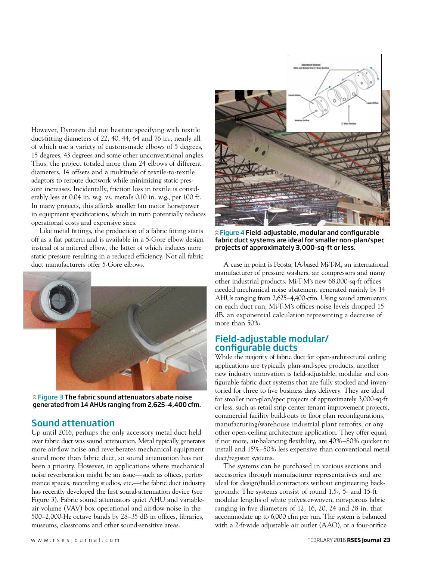However, Dynaten did not hesitate specifying with textile duct-fitting diameters of 22, 40, 44, 64 and 76 in., nearly all of which use a variety of custom-made elbows of 5 degrees, 15 degrees, 43 degrees and some other unconventional angles. Thus, the project totaled more than 24 elbows of different diameters, 14 offsets and a multitude of textile-to-textile adaptors to reroute ductwork while minimizing static pressure increases. Incidentally, friction loss in textile is considerably less at 0.04 in. w.g. vs. metal's 0.10 in. w.g., per 100 ft. In many projects, this affords smaller fan motor horsepower in equipment specifications, which in turn potentially reduces operational costs and expensive sizes.

Like metal fittings, the production of a fabric fitting starts off as a flat pattern and is available in a 5-Gore elbow design instead of a mitered elbow, the latter of which induces more static pressure resulting in a reduced efficiency. Not all fabric duct manufacturers offer 5-Gore elbows.



 $\hat{\lambda}$  Figure 3 The fabric sound attenuators abate noise generated from 14 AHUs ranging from 2,625–4,400 cfm.

#### Sound attenuation

Up until 2016, perhaps the only accessory metal duct held over fabric duct was sound attenuation. Metal typically generates more air-flow noise and reverberates mechanical equipment sound more than fabric duct, so sound attenuation has not been a priority. However, in applications where mechanical noise reverberation might be an issue—such as offices, performance spaces, recording studios, etc.—the fabric duct industry has recently developed the first sound-attenuation device (see Figure 3). Fabric sound attenuators quiet AHU and variableair volume (VAV) box operational and air-flow noise in the 500–2,000-Hz octave bands by 28–35 dB in offices, libraries, museums, classrooms and other sound-sensitive areas.



 $\hat{\lambda}$  Figure 4 Field-adjustable, modular and configurable fabric duct systems are ideal for smaller non-plan/spec projects of approximately 3,000-sq-ft or less.

A case in point is Peosta, IA-based Mi-T-M, an international manufacturer of pressure washers, air compressors and many other industrial products. Mi-T-M's new 68,000-sq-ft offices needed mechanical noise abatement generated mainly by 14 AHUs ranging from 2,625–4,400-cfm. Using sound attenuators on each duct run, Mi-T-M's offices noise levels dropped 15 dB, an exponential calculation representing a decrease of more than 50%.

#### Field-adjustable modular/ configurable ducts

While the majority of fabric duct for open-architectural ceiling applications are typically plan-and-spec products, another new industry innovation is field-adjustable, modular and configurable fabric duct systems that are fully stocked and inventoried for three to five business days delivery. They are ideal for smaller non-plan/spec projects of approximately 3,000-sq-ft or less, such as retail strip center tenant improvement projects, commercial facility build-outs or floor plan reconfigurations, manufacturing/warehouse industrial plant retrofits, or any other open-ceiling architecture application. They offer equal, if not more, air-balancing flexibility, are 40%–80% quicker to install and 15%–50% less expensive than conventional metal duct/register systems.

The systems can be purchased in various sections and accessories through manufacturer representatives and are ideal for design/build contractors without engineering backgrounds. The systems consist of round 1.5-, 5- and 15-ft modular lengths of white polyester-woven, non-porous fabric ranging in five diameters of 12, 16, 20, 24 and 28 in. that accommodate up to 6,000 cfm per run. The system is balanced with a 2-ft-wide adjustable air outlet (AAO), or a four-orifice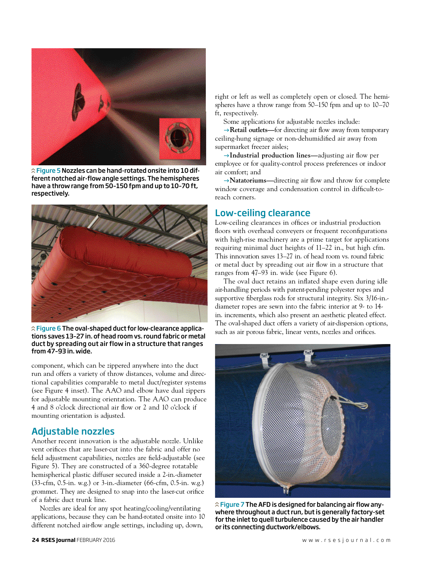

 $\hat{\lambda}$  Figure 5 Nozzles can be hand-rotated onsite into 10 different notched air-flow angle settings. The hemispheres have a throw range from 50–150 fpm and up to 10–70 ft, respectively.



 $\hat{\lambda}$  Figure 6 The oval-shaped duct for low-clearance applications saves 13–27 in. of head room vs. round fabric or metal duct by spreading out air flow in a structure that ranges from 47–93 in. wide.

component, which can be zippered anywhere into the duct run and offers a variety of throw distances, volume and directional capabilities comparable to metal duct/register systems (see Figure 4 inset). The AAO and elbow have dual zippers for adjustable mounting orientation. The AAO can produce 4 and 8 o'clock directional air flow or 2 and 10 o'clock if mounting orientation is adjusted.

# Adjustable nozzles

Another recent innovation is the adjustable nozzle. Unlike vent orifices that are laser-cut into the fabric and offer no field adjustment capabilities, nozzles are field-adjustable (see Figure 5). They are constructed of a 360-degree rotatable hemispherical plastic diffuser secured inside a 2-in.-diameter (33-cfm, 0.5-in. w.g.) or 3-in.-diameter (66-cfm, 0.5-in. w.g.) grommet. They are designed to snap into the laser-cut orifice of a fabric duct trunk line.

Nozzles are ideal for any spot heating/cooling/ventilating applications, because they can be hand-rotated onsite into 10 different notched air-flow angle settings, including up, down,

right or left as well as completely open or closed. The hemispheres have a throw range from 50–150 fpm and up to 10–70 ft, respectively.

Some applications for adjustable nozzles include:

→ **Retail outlets—**for directing air flow away from temporary ceiling-hung signage or non-dehumidified air away from supermarket freezer aisles;

g**Industrial production lines—**adjusting air flow per employee or for quality-control process preferences or indoor air comfort; and

→ **Natatoriums**—directing air flow and throw for complete window coverage and condensation control in difficult-toreach corners.

# Low-ceiling clearance

Low-ceiling clearances in offices or industrial production floors with overhead conveyers or frequent reconfigurations with high-rise machinery are a prime target for applications requiring minimal duct heights of 11–22 in., but high cfm. This innovation saves 13–27 in. of head room vs. round fabric or metal duct by spreading out air flow in a structure that ranges from 47–93 in. wide (see Figure 6).

The oval duct retains an inflated shape even during idle air-handling periods with patent-pending polyester ropes and supportive fiberglass rods for structural integrity. Six 3/16-in. diameter ropes are sewn into the fabric interior at 9- to 14 in. increments, which also present an aesthetic pleated effect. The oval-shaped duct offers a variety of air-dispersion options, such as air porous fabric, linear vents, nozzles and orifices.



 $\hat{p}$  Figure 7 The AFD is designed for balancing air flow anywhere throughout a duct run, but is generally factory-set for the inlet to quell turbulence caused by the air handler or its connecting ductwork/elbows.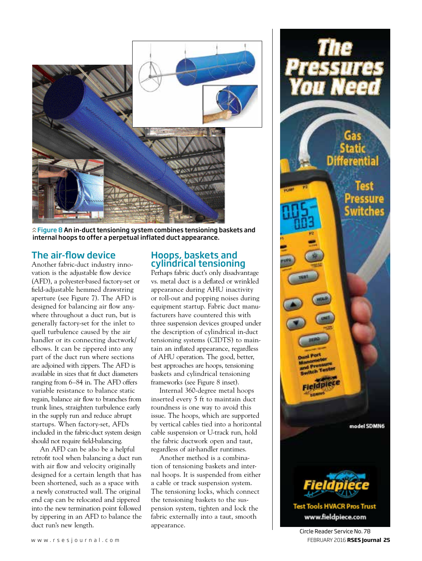

 $\hat{\lambda}$  Figure 8 An in-duct tensioning system combines tensioning baskets and internal hoops to offer a perpetual inflated duct appearance.

### The air-flow device

Another fabric-duct industry innovation is the adjustable flow device (AFD), a polyester-based factory-set or field-adjustable hemmed drawstring aperture (see Figure 7). The AFD is designed for balancing air flow anywhere throughout a duct run, but is generally factory-set for the inlet to quell turbulence caused by the air handler or its connecting ductwork/ elbows. It can be zippered into any part of the duct run where sections are adjoined with zippers. The AFD is available in sizes that fit duct diameters ranging from 6–84 in. The AFD offers variable resistance to balance static regain, balance air flow to branches from trunk lines, straighten turbulence early in the supply run and reduce abrupt startups. When factory-set, AFDs included in the fabric-duct system design should not require field-balancing.

An AFD can be also be a helpful retrofit tool when balancing a duct run with air flow and velocity originally designed for a certain length that has been shortened, such as a space with a newly constructed wall. The original end cap can be relocated and zippered into the new termination point followed by zippering in an AFD to balance the duct run's new length.

#### Hoops, baskets and cylindrical tensioning

Perhaps fabric duct's only disadvantage vs. metal duct is a deflated or wrinkled appearance during AHU inactivity or roll-out and popping noises during equipment startup. Fabric duct manufacturers have countered this with three suspension devices grouped under the description of cylindrical in-duct tensioning systems (CIDTS) to maintain an inflated appearance, regardless of AHU operation. The good, better, best approaches are hoops, tensioning baskets and cylindrical tensioning frameworks (see Figure 8 inset).

Internal 360-degree metal hoops inserted every 5 ft to maintain duct roundness is one way to avoid this issue. The hoops, which are supported by vertical cables tied into a horizontal cable suspension or U-track run, hold the fabric ductwork open and taut, regardless of air-handler runtimes.

Another method is a combination of tensioning baskets and internal hoops. It is suspended from either a cable or track suspension system. The tensioning locks, which connect the tensioning baskets to the suspension system, tighten and lock the fabric externally into a taut, smooth appearance.

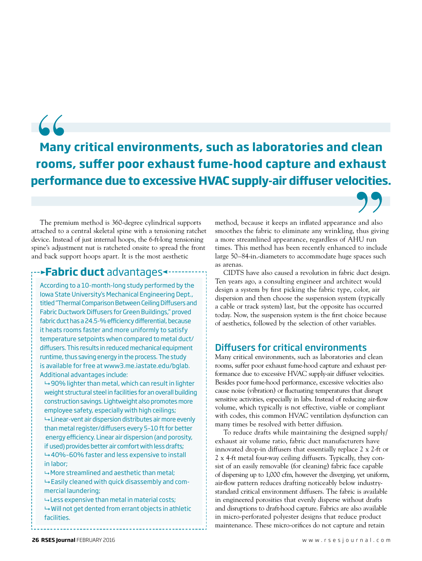# **Many critical environments, such as laboratories and clean rooms, suffer poor exhaust fume-hood capture and exhaust performance due to excessive HVAC supply-air diffuser velocities.** 66<br>Many<br>room:<br>perfori

The premium method is 360-degree cylindrical supports attached to a central skeletal spine with a tensioning ratchet device. Instead of just internal hoops, the 6-ft-long tensioning spine's adjustment nut is ratcheted onsite to spread the front and back support hoops apart. It is the most aesthetic

# **Fabric duct** advantages

According to a 10-month-long study performed by the Iowa State University's Mechanical Engineering Dept., titled "Thermal Comparison Between Ceiling Diffusers and Fabric Ductwork Diffusers for Green Buildings," proved fabric duct has a 24.5-% efficiency differential, because it heats rooms faster and more uniformly to satisfy temperature setpoints when compared to metal duct/ diffusers. This results in reduced mechanical equipment runtime, thus saving energy in the process. The study is available for free at www3.me.iastate.edu/bglab. Additional advantages include:

 $\rightarrow$  90% lighter than metal, which can result in lighter weight structural steel in facilities for an overall building construction savings. Lightweight also promotes more employee safety, especially with high ceilings;  $\rightarrow$  Linear-vent air dispersion distributes air more evenly than metal register/diffusers every 5–10 ft for better energy efficiency. Linear air dispersion (and porosity, if used) provides better air comfort with less drafts;  $\rightarrow$  40%-60% faster and less expensive to install in labor;

 $\rightarrow$  More streamlined and aesthetic than metal;  $\rightarrow$  Easily cleaned with quick disassembly and commercial laundering;

 $\rightarrow$  Less expensive than metal in material costs;  $\rightarrow$  Will not get dented from errant objects in athletic facilities.

method, because it keeps an inflated appearance and also smoothes the fabric to eliminate any wrinkling, thus giving a more streamlined appearance, regardless of AHU run times. This method has been recently enhanced to include large 50–84-in.-diameters to accommodate huge spaces such as arenas.

CIDTS have also caused a revolution in fabric duct design. Ten years ago, a consulting engineer and architect would design a system by first picking the fabric type, color, air dispersion and then choose the suspension system (typically a cable or track system) last, but the opposite has occurred today. Now, the suspension system is the first choice because of aesthetics, followed by the selection of other variables.

# Diffusers for critical environments

Many critical environments, such as laboratories and clean rooms, suffer poor exhaust fume-hood capture and exhaust performance due to excessive HVAC supply-air diffuser velocities. Besides poor fume-hood performance, excessive velocities also cause noise (vibration) or fluctuating temperatures that disrupt sensitive activities, especially in labs. Instead of reducing air-flow volume, which typically is not effective, viable or compliant with codes, this common HVAC ventilation dysfunction can many times be resolved with better diffusion.

To reduce drafts while maintaining the designed supply/ exhaust air volume ratio, fabric duct manufacturers have innovated drop-in diffusers that essentially replace 2 x 2-ft or 2 x 4-ft metal four-way ceiling diffusers. Typically, they consist of an easily removable (for cleaning) fabric face capable of dispersing up to 1,000 cfm, however the diverging, yet uniform, air-flow pattern reduces drafting noticeably below industrystandard critical environment diffusers. The fabric is available in engineered porosities that evenly disperse without drafts and disruptions to draft-hood capture. Fabrics are also available in micro-perforated polyester designs that reduce product maintenance. These micro-orifices do not capture and retain